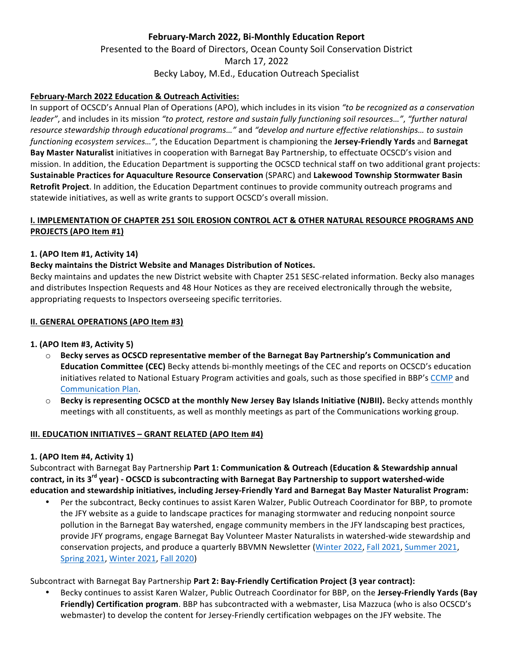# **February-March 2022, Bi-Monthly Education Report** Presented to the Board of Directors, Ocean County Soil Conservation District March 17, 2022 Becky Laboy, M.Ed., Education Outreach Specialist

### **February-March 2022 Education & Outreach Activities:**

In support of OCSCD's Annual Plan of Operations (APO), which includes in its vision "to be recognized as a conservation *leader"*, and includes in its mission "to protect, restore and sustain fully functioning soil resources...", "further natural resource stewardship through educational programs..." and "develop and nurture effective relationships... to sustain *functioning ecosystem services..."*, the Education Department is championing the Jersey-Friendly Yards and Barnegat Bay Master Naturalist initiatives in cooperation with Barnegat Bay Partnership, to effectuate OCSCD's vision and mission. In addition, the Education Department is supporting the OCSCD technical staff on two additional grant projects: **Sustainable Practices for Aquaculture Resource Conservation** (SPARC) and Lakewood Township Stormwater Basin **Retrofit Project**. In addition, the Education Department continues to provide community outreach programs and statewide initiatives, as well as write grants to support OCSCD's overall mission.

### **I. IMPLEMENTATION OF CHAPTER 251 SOIL EROSION CONTROL ACT & OTHER NATURAL RESOURCE PROGRAMS AND PROJECTS** (APO Item #1)

### **1. (APO Item #1, Activity 14)**

#### **Becky maintains the District Website and Manages Distribution of Notices.**

Becky maintains and updates the new District website with Chapter 251 SESC-related information. Becky also manages and distributes Inspection Requests and 48 Hour Notices as they are received electronically through the website, appropriating requests to Inspectors overseeing specific territories.

#### **II. GENERAL OPERATIONS (APO Item #3)**

### **1. (APO Item #3, Activity 5)**

- $\circ$  Becky serves as OCSCD representative member of the Barnegat Bay Partnership's Communication and **Education Committee (CEC)** Becky attends bi-monthly meetings of the CEC and reports on OCSCD's education initiatives related to National Estuary Program activities and goals, such as those specified in BBP's CCMP and Communication Plan.
- **Becky is representing OCSCD at the monthly New Jersey Bay Islands Initiative (NJBII).** Becky attends monthly meetings with all constituents, as well as monthly meetings as part of the Communications working group.

#### **III. EDUCATION INITIATIVES - GRANT RELATED (APO Item #4)**

### **1. (APO Item #4, Activity 1)**

Subcontract with Barnegat Bay Partnership Part 1: Communication & Outreach (Education & Stewardship annual contract, in its 3<sup>rd</sup> year) - OCSCD is subcontracting with Barnegat Bay Partnership to support watershed-wide **education and stewardship initiatives, including Jersey-Friendly Yard and Barnegat Bay Master Naturalist Program:**

Per the subcontract, Becky continues to assist Karen Walzer, Public Outreach Coordinator for BBP, to promote the JFY website as a guide to landscape practices for managing stormwater and reducing nonpoint source pollution in the Barnegat Bay watershed, engage community members in the JFY landscaping best practices, provide JFY programs, engage Barnegat Bay Volunteer Master Naturalists in watershed-wide stewardship and conservation projects, and produce a quarterly BBVMN Newsletter (Winter 2022, Fall 2021, Summer 2021, Spring 2021, Winter 2021, Fall 2020)

Subcontract with Barnegat Bay Partnership Part 2: Bay-Friendly Certification Project (3 year contract):

Becky continues to assist Karen Walzer, Public Outreach Coordinator for BBP, on the **Jersey-Friendly Yards (Bay** Friendly) Certification program. BBP has subcontracted with a webmaster, Lisa Mazzuca (who is also OCSCD's webmaster) to develop the content for Jersey-Friendly certification webpages on the JFY website. The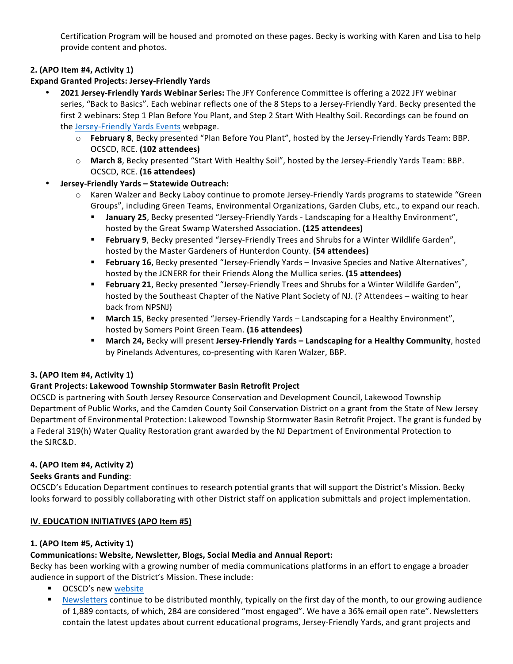Certification Program will be housed and promoted on these pages. Becky is working with Karen and Lisa to help provide content and photos.

# **2. (APO Item #4, Activity 1)**

### **Expand Granted Projects: Jersey-Friendly Yards**

• **2021 Jersey-Friendly Yards Webinar Series:** The JFY Conference Committee is offering a 2022 JFY webinar series, "Back to Basics". Each webinar reflects one of the 8 Steps to a Jersey-Friendly Yard. Becky presented the first 2 webinars: Step 1 Plan Before You Plant, and Step 2 Start With Healthy Soil. Recordings can be found on the Jersey-Friendly Yards Events webpage.

- o **February 8**, Becky presented "Plan Before You Plant", hosted by the Jersey-Friendly Yards Team: BBP. OCSCD, RCE. **(102 attendees)**
- o **March 8**, Becky presented "Start With Healthy Soil", hosted by the Jersey-Friendly Yards Team: BBP. OCSCD, RCE. **(16 attendees)**

### • **Jersey-Friendly Yards – Statewide Outreach:**

- $\circ$  Karen Walzer and Becky Laboy continue to promote Jersey-Friendly Yards programs to statewide "Green Groups", including Green Teams, Environmental Organizations, Garden Clubs, etc., to expand our reach.
	- **January 25**, Becky presented "Jersey-Friendly Yards Landscaping for a Healthy Environment", hosted by the Great Swamp Watershed Association. (125 attendees)
	- **Eebruary 9**, Becky presented "Jersey-Friendly Trees and Shrubs for a Winter Wildlife Garden", hosted by the Master Gardeners of Hunterdon County. (54 attendees)
	- February 16, Becky presented "Jersey-Friendly Yards Invasive Species and Native Alternatives", hosted by the JCNERR for their Friends Along the Mullica series. (15 attendees)
	- **Eebruary 21**, Becky presented "Jersey-Friendly Trees and Shrubs for a Winter Wildlife Garden", hosted by the Southeast Chapter of the Native Plant Society of NJ. (? Attendees – waiting to hear back from NPSNJ)
	- **March 15**, Becky presented "Jersey-Friendly Yards Landscaping for a Healthy Environment", hosted by Somers Point Green Team. **(16 attendees)**
	- **March 24, Becky will present Jersey-Friendly Yards Landscaping for a Healthy Community, hosted** by Pinelands Adventures, co-presenting with Karen Walzer, BBP.

# **3. (APO Item #4, Activity 1)**

# **Grant Projects: Lakewood Township Stormwater Basin Retrofit Project**

OCSCD is partnering with South Jersey Resource Conservation and Development Council, Lakewood Township Department of Public Works, and the Camden County Soil Conservation District on a grant from the State of New Jersey Department of Environmental Protection: Lakewood Township Stormwater Basin Retrofit Project. The grant is funded by a Federal 319(h) Water Quality Restoration grant awarded by the NJ Department of Environmental Protection to the SJRC&D. 

### **4. (APO Item #4, Activity 2)**

### **Seeks Grants and Funding**:

OCSCD's Education Department continues to research potential grants that will support the District's Mission. Becky looks forward to possibly collaborating with other District staff on application submittals and project implementation.

### **IV. EDUCATION INITIATIVES (APO Item #5)**

### **1. (APO Item #5, Activity 1)**

### **Communications: Website, Newsletter, Blogs, Social Media and Annual Report:**

Becky has been working with a growing number of media communications platforms in an effort to engage a broader audience in support of the District's Mission. These include:

- OCSCD's new website
- Newsletters continue to be distributed monthly, typically on the first day of the month, to our growing audience of 1,889 contacts, of which, 284 are considered "most engaged". We have a 36% email open rate". Newsletters contain the latest updates about current educational programs, Jersey-Friendly Yards, and grant projects and